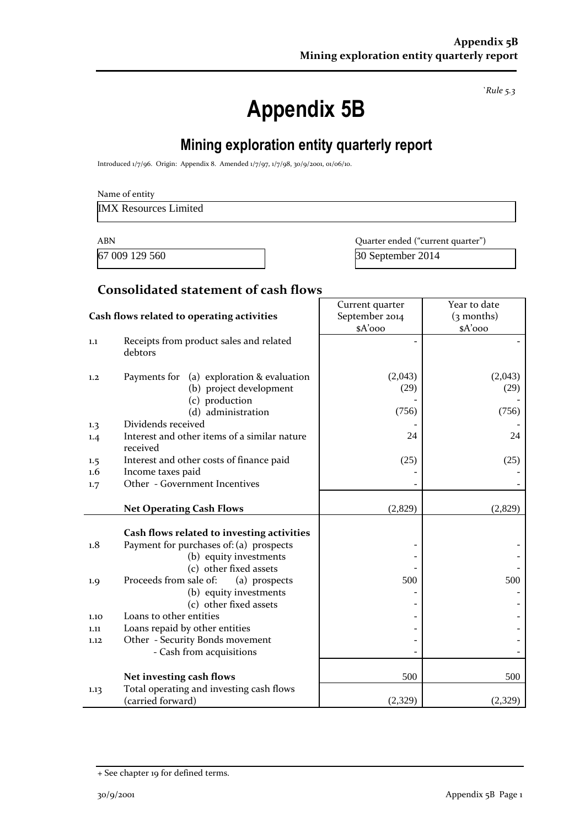*`Rule 5.3*

# **Appendix 5B**

# **Mining exploration entity quarterly report**

Introduced 1/7/96. Origin: Appendix 8. Amended 1/7/97, 1/7/98, 30/9/2001, 01/06/10.

IMX Resources Limited

67 009 129 560 30 September 2014

ABN **ABN** Quarter ended ("current quarter")

#### **Consolidated statement of cash flows**

|                                            |                                                                                                                 | Current quarter | Year to date    |  |
|--------------------------------------------|-----------------------------------------------------------------------------------------------------------------|-----------------|-----------------|--|
| Cash flows related to operating activities |                                                                                                                 | September 2014  | $(3$ months)    |  |
|                                            |                                                                                                                 | \$A'ooo         | $A'$ 000        |  |
| 1.1                                        | Receipts from product sales and related<br>debtors                                                              |                 |                 |  |
| 1,2                                        | (a) exploration & evaluation<br>Payments for<br>(b) project development<br>(c) production                       | (2,043)<br>(29) | (2,043)<br>(29) |  |
|                                            | (d) administration                                                                                              | (756)           | (756)           |  |
| 1.3                                        | Dividends received                                                                                              |                 |                 |  |
| 1.4                                        | Interest and other items of a similar nature<br>received                                                        | 24              | 24              |  |
| 1.5                                        | Interest and other costs of finance paid                                                                        | (25)            | (25)            |  |
| $1.6\,$                                    | Income taxes paid                                                                                               |                 |                 |  |
| 1.7                                        | Other - Government Incentives                                                                                   |                 |                 |  |
|                                            |                                                                                                                 |                 |                 |  |
|                                            | <b>Net Operating Cash Flows</b>                                                                                 | (2,829)         | (2,829)         |  |
| 1.8                                        | Cash flows related to investing activities<br>Payment for purchases of: (a) prospects<br>(b) equity investments |                 |                 |  |
|                                            | (c) other fixed assets                                                                                          |                 |                 |  |
| 1.9                                        | Proceeds from sale of:<br>(a) prospects                                                                         | 500             | 500             |  |
|                                            | (b) equity investments<br>(c) other fixed assets                                                                |                 |                 |  |
| 1.10                                       | Loans to other entities                                                                                         |                 |                 |  |
| 1.11                                       | Loans repaid by other entities                                                                                  |                 |                 |  |
| 1.12                                       | Other - Security Bonds movement                                                                                 |                 |                 |  |
|                                            | - Cash from acquisitions                                                                                        |                 |                 |  |
|                                            |                                                                                                                 |                 |                 |  |
|                                            | Net investing cash flows                                                                                        | 500             | 500             |  |
| 1.13                                       | Total operating and investing cash flows<br>(carried forward)                                                   | (2,329)         | (2,329)         |  |

<sup>+</sup> See chapter 19 for defined terms.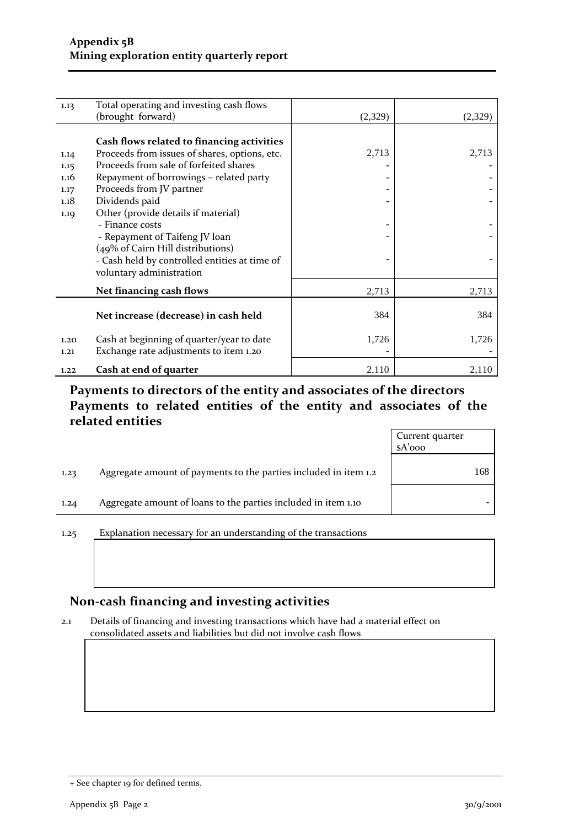| 1.13 | Total operating and investing cash flows      |         |         |
|------|-----------------------------------------------|---------|---------|
|      | (brought forward)                             | (2,329) | (2,329) |
|      |                                               |         |         |
|      | Cash flows related to financing activities    |         |         |
| 1.14 | Proceeds from issues of shares, options, etc. | 2,713   | 2,713   |
| 1.15 | Proceeds from sale of forfeited shares        |         |         |
| 1.16 | Repayment of borrowings - related party       |         |         |
| 1.17 | Proceeds from JV partner                      |         |         |
| 1.18 | Dividends paid                                |         |         |
| 1.19 | Other (provide details if material)           |         |         |
|      | - Finance costs                               |         |         |
|      |                                               |         |         |
|      | - Repayment of Taifeng JV loan                |         |         |
|      | (49% of Cairn Hill distributions)             |         |         |
|      | - Cash held by controlled entities at time of |         |         |
|      | voluntary administration                      |         |         |
|      | Net financing cash flows                      | 2,713   | 2,713   |
|      |                                               |         |         |
|      | Net increase (decrease) in cash held          | 384     | 384     |
|      |                                               |         |         |
| 1.20 | Cash at beginning of quarter/year to date     | 1,726   | 1,726   |
| 1,21 | Exchange rate adjustments to item 1.20        |         |         |
| 1.22 | Cash at end of quarter                        | 2,110   | 2,110   |
|      |                                               |         |         |

### **Payments to directors of the entity and associates of the directors Payments to related entities of the entity and associates of the related entities**

|      |                                                                  | Current quarter<br>$A'$ 000 |     |
|------|------------------------------------------------------------------|-----------------------------|-----|
| 1.23 | Aggregate amount of payments to the parties included in item 1.2 |                             | 168 |
| 1,24 | Aggregate amount of loans to the parties included in item 1.10   |                             |     |

1.25 Explanation necessary for an understanding of the transactions

### **Non-cash financing and investing activities**

2.1 Details of financing and investing transactions which have had a material effect on consolidated assets and liabilities but did not involve cash flows

<sup>+</sup> See chapter 19 for defined terms.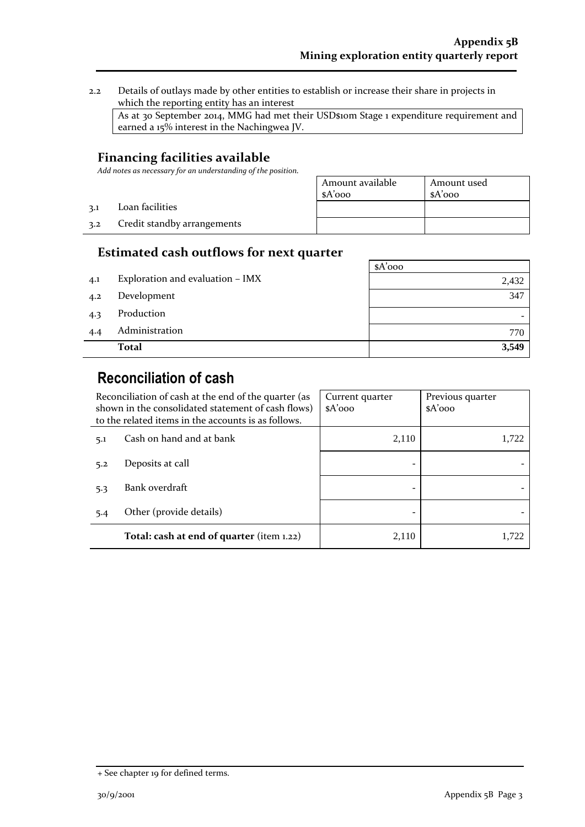2.2 Details of outlays made by other entities to establish or increase their share in projects in which the reporting entity has an interest

As at 30 September 2014, MMG had met their USD\$10m Stage 1 expenditure requirement and earned a 15% interest in the Nachingwea JV.

#### **Financing facilities available**

3.2 Credit standby arrangements

3.1 Loan facilities

*Add notes as necessary for an understanding of the position.*

| Amount available | Amount used |
|------------------|-------------|
| $A'$ 000         | $A'$ 000    |
|                  |             |
|                  |             |
|                  |             |

### **Estimated cash outflows for next quarter**

|     |                                  | $A'$ 000 |
|-----|----------------------------------|----------|
| 4.1 | Exploration and evaluation - IMX | 2,432    |
| 4.2 | Development                      | 347      |
| 4.3 | Production                       |          |
| 4.4 | Administration                   | 770      |
|     | <b>Total</b>                     | 3,549    |

# **Reconciliation of cash**

|     | Reconciliation of cash at the end of the quarter (as<br>shown in the consolidated statement of cash flows)<br>to the related items in the accounts is as follows. | Current quarter<br>$A'$ 000 | Previous quarter<br>$A'$ 000 |
|-----|-------------------------------------------------------------------------------------------------------------------------------------------------------------------|-----------------------------|------------------------------|
| 5.1 | Cash on hand and at bank                                                                                                                                          | 2,110                       | 1,722                        |
| 5.2 | Deposits at call                                                                                                                                                  |                             |                              |
| 5.3 | Bank overdraft                                                                                                                                                    |                             |                              |
| 5.4 | Other (provide details)                                                                                                                                           |                             |                              |
|     | Total: cash at end of quarter (item 1.22)                                                                                                                         | 2,110                       | 1.722                        |

<sup>+</sup> See chapter 19 for defined terms.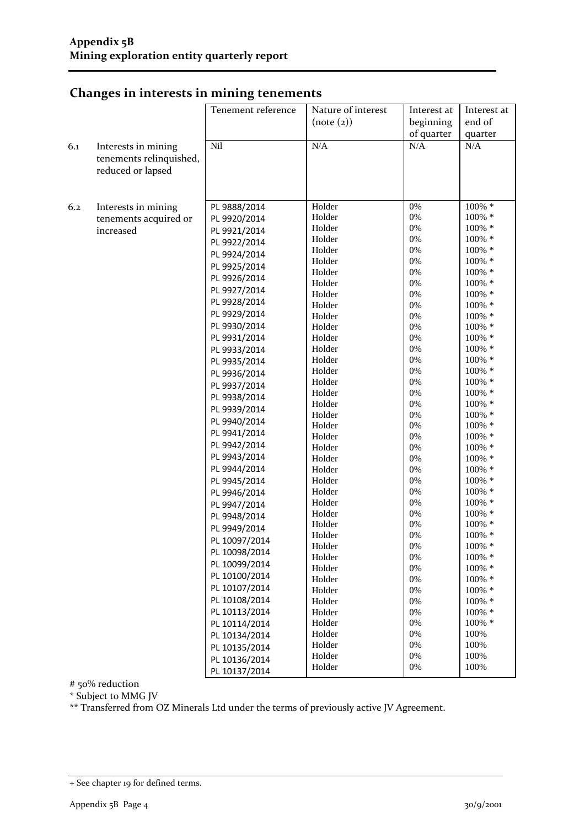|     |                         | Tenement reference | Nature of interest | Interest at | Interest at      |
|-----|-------------------------|--------------------|--------------------|-------------|------------------|
|     |                         |                    | (note (2))         | beginning   | end of           |
|     |                         |                    |                    | of quarter  | quarter          |
| 6.1 | Interests in mining     | Nil                | N/A                | N/A         | N/A              |
|     | tenements relinquished, |                    |                    |             |                  |
|     | reduced or lapsed       |                    |                    |             |                  |
|     |                         |                    |                    |             |                  |
|     |                         |                    |                    |             |                  |
| 6.2 | Interests in mining     | PL 9888/2014       | Holder             | 0%          | 100% *           |
|     | tenements acquired or   | PL 9920/2014       | Holder             | 0%          | 100% *           |
|     | increased               |                    | Holder             | 0%          | 100% *           |
|     |                         | PL 9921/2014       | Holder             | 0%          | 100% *           |
|     |                         | PL 9922/2014       | Holder             | 0%          | 100% *           |
|     |                         | PL 9924/2014       | Holder             | 0%          | 100% *           |
|     |                         | PL 9925/2014       | Holder             | 0%          | 100% *           |
|     |                         | PL 9926/2014       | Holder             | 0%          | 100% *           |
|     |                         | PL 9927/2014       | Holder             | 0%          | 100% *           |
|     |                         | PL 9928/2014       | Holder             | 0%          | 100% *           |
|     |                         | PL 9929/2014       | Holder             | 0%          | 100% *           |
|     |                         | PL 9930/2014       | Holder             | 0%          | 100% *           |
|     |                         | PL 9931/2014       | Holder             | 0%          | 100% *           |
|     |                         | PL 9933/2014       | Holder             | 0%          | 100% *           |
|     |                         | PL 9935/2014       | Holder             | 0%          | 100% *           |
|     |                         | PL 9936/2014       | Holder             | 0%          | 100% *           |
|     |                         | PL 9937/2014       | Holder             | 0%          | 100% *           |
|     |                         | PL 9938/2014       | Holder             | 0%          | 100% *           |
|     |                         | PL 9939/2014       | Holder             | 0%          | 100% *           |
|     |                         | PL 9940/2014       | Holder             | 0%          | 100% *           |
|     |                         | PL 9941/2014       | Holder             | 0%          | 100% *           |
|     |                         | PL 9942/2014       | Holder             | 0%          | 100% *           |
|     |                         | PL 9943/2014       | Holder             | 0%          | 100% *           |
|     |                         | PL 9944/2014       | Holder<br>Holder   | 0%<br>0%    | 100% *<br>100% * |
|     |                         | PL 9945/2014       | Holder             | 0%          | 100% *           |
|     |                         |                    | Holder             | 0%          | 100% *           |
|     |                         | PL 9946/2014       | Holder             | 0%          | 100% *           |
|     |                         | PL 9947/2014       | Holder             | 0%          | 100% *           |
|     |                         | PL 9948/2014       | Holder             | 0%          | 100% *           |
|     |                         | PL 9949/2014       | Holder             | 0%          | 100% *           |
|     |                         | PL 10097/2014      | Holder             | $0\%$       | 100% *           |
|     |                         | PL 10098/2014      | Holder             | 0%          | 100% *           |
|     |                         | PL 10099/2014      | Holder             | 0%          | 100% *           |
|     |                         | PL 10100/2014      | Holder             | 0%          | 100% *           |
|     |                         | PL 10107/2014      | Holder             | 0%          | 100% *           |
|     |                         | PL 10108/2014      | Holder             | 0%          | $100\%$ *        |
|     |                         | PL 10113/2014      | Holder             | 0%          | 100% *           |
|     |                         | PL 10114/2014      | Holder             | 0%          | 100% *           |
|     |                         | PL 10134/2014      | Holder             | 0%          | 100%             |
|     |                         | PL 10135/2014      | Holder             | 0%          | 100%             |
|     |                         | PL 10136/2014      | Holder             | 0%          | 100%             |
|     |                         | PL 10137/2014      | Holder             | 0%          | 100%             |

## **Changes in interests in mining tenements**

# 50% reduction

\* Subject to MMG JV

\*\* Transferred from OZ Minerals Ltd under the terms of previously active JV Agreement.

<sup>+</sup> See chapter 19 for defined terms.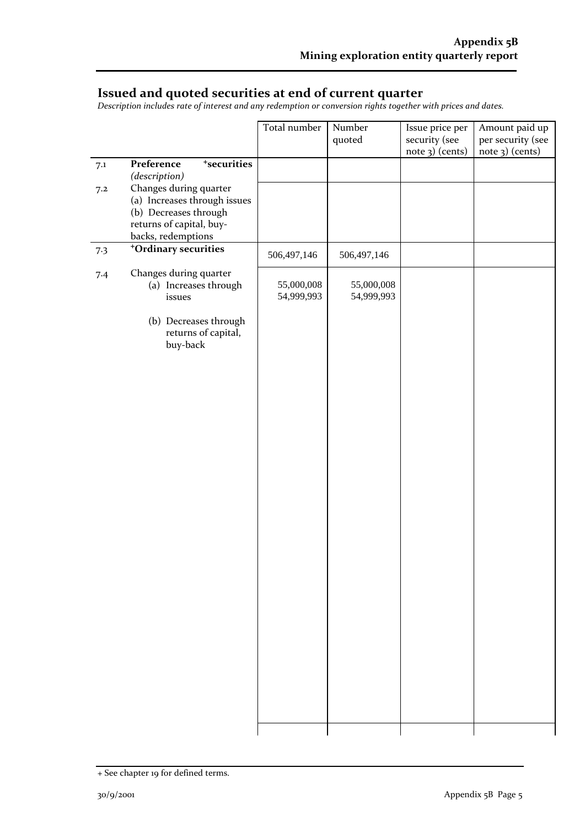### **Issued and quoted securities at end of current quarter**

*Description includes rate of interest and any redemption or conversion rights together with prices and dates.*

|     |                                                                                                                                   | Total number             | Number                   | Issue price per | Amount paid up    |
|-----|-----------------------------------------------------------------------------------------------------------------------------------|--------------------------|--------------------------|-----------------|-------------------|
|     |                                                                                                                                   |                          | quoted                   | security (see   | per security (see |
|     |                                                                                                                                   |                          |                          | note 3) (cents) | note 3) (cents)   |
| 7.1 | Preference<br><sup>+</sup> securities<br>(description)                                                                            |                          |                          |                 |                   |
| 7.2 | Changes during quarter<br>(a) Increases through issues<br>(b) Decreases through<br>returns of capital, buy-<br>backs, redemptions |                          |                          |                 |                   |
| 7.3 | <sup>+</sup> Ordinary securities                                                                                                  | 506,497,146              | 506,497,146              |                 |                   |
| 7.4 | Changes during quarter<br>(a) Increases through<br>issues<br>(b) Decreases through                                                | 55,000,008<br>54,999,993 | 55,000,008<br>54,999,993 |                 |                   |
|     | returns of capital,<br>buy-back                                                                                                   |                          |                          |                 |                   |
|     |                                                                                                                                   |                          |                          |                 |                   |
|     |                                                                                                                                   |                          |                          |                 |                   |
|     |                                                                                                                                   |                          |                          |                 |                   |
|     |                                                                                                                                   |                          |                          |                 |                   |
|     |                                                                                                                                   |                          |                          |                 |                   |
|     |                                                                                                                                   |                          |                          |                 |                   |
|     |                                                                                                                                   |                          |                          |                 |                   |
|     |                                                                                                                                   |                          |                          |                 |                   |
|     |                                                                                                                                   |                          |                          |                 |                   |
|     |                                                                                                                                   |                          |                          |                 |                   |
|     |                                                                                                                                   |                          |                          |                 |                   |
|     |                                                                                                                                   |                          |                          |                 |                   |
|     |                                                                                                                                   |                          |                          |                 |                   |
|     |                                                                                                                                   |                          |                          |                 |                   |
|     |                                                                                                                                   |                          |                          |                 |                   |

<sup>+</sup> See chapter 19 for defined terms.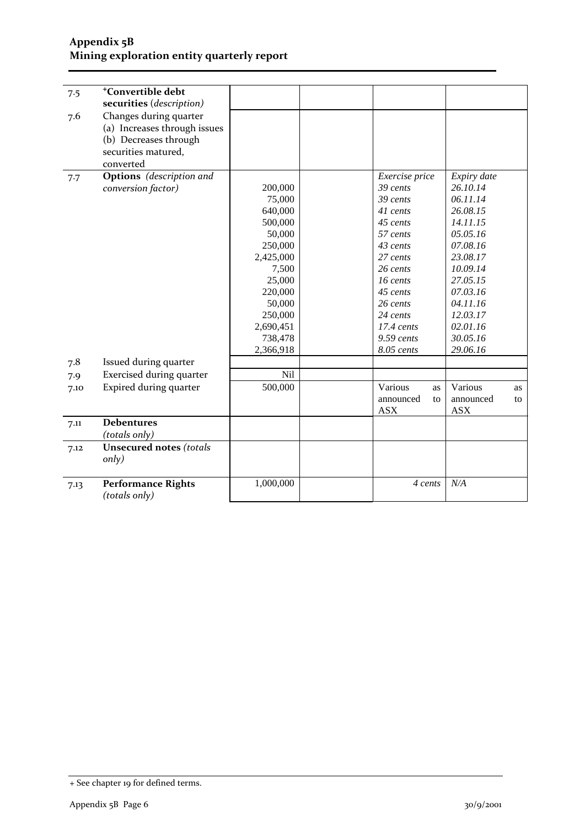#### **Appendix 5B Mining exploration entity quarterly report**

| 7.5  | <sup>+</sup> Convertible debt   |           |                 |                 |
|------|---------------------------------|-----------|-----------------|-----------------|
|      | securities (description)        |           |                 |                 |
| 7.6  | Changes during quarter          |           |                 |                 |
|      | (a) Increases through issues    |           |                 |                 |
|      | (b) Decreases through           |           |                 |                 |
|      | securities matured,             |           |                 |                 |
|      | converted                       |           |                 |                 |
| 7.7  | <b>Options</b> (description and |           | Exercise price  | Expiry date     |
|      | conversion factor)              | 200,000   | 39 cents        | 26.10.14        |
|      |                                 | 75,000    | 39 cents        | 06.11.14        |
|      |                                 | 640,000   | 41 cents        | 26.08.15        |
|      |                                 | 500,000   | 45 cents        | 14.11.15        |
|      |                                 | 50,000    | 57 cents        | 05.05.16        |
|      |                                 | 250,000   | 43 cents        | 07.08.16        |
|      |                                 | 2,425,000 | 27 cents        | 23.08.17        |
|      |                                 | 7,500     | 26 cents        | 10.09.14        |
|      |                                 | 25,000    | 16 cents        | 27.05.15        |
|      |                                 | 220,000   | 45 cents        | 07.03.16        |
|      |                                 | 50,000    | 26 cents        | 04.11.16        |
|      |                                 | 250,000   | 24 cents        | 12.03.17        |
|      |                                 | 2,690,451 | $17.4$ cents    | 02.01.16        |
|      |                                 | 738,478   | $9.59$ cents    | 30.05.16        |
|      |                                 | 2,366,918 | 8.05 cents      | 29.06.16        |
| 7.8  | Issued during quarter           |           |                 |                 |
| 7.9  | Exercised during quarter        | Nil       |                 |                 |
| 7.10 | Expired during quarter          | 500,000   | Various<br>as   | Various<br>as   |
|      |                                 |           | announced<br>to | announced<br>to |
|      |                                 |           | <b>ASX</b>      | <b>ASX</b>      |
| 7.11 | <b>Debentures</b>               |           |                 |                 |
|      | (totals only)                   |           |                 |                 |
| 7.12 | <b>Unsecured notes (totals</b>  |           |                 |                 |
|      | only)                           |           |                 |                 |
|      |                                 |           |                 |                 |
| 7.13 | <b>Performance Rights</b>       | 1,000,000 | 4 cents         | N/A             |
|      | (totals only)                   |           |                 |                 |

<sup>+</sup> See chapter 19 for defined terms.